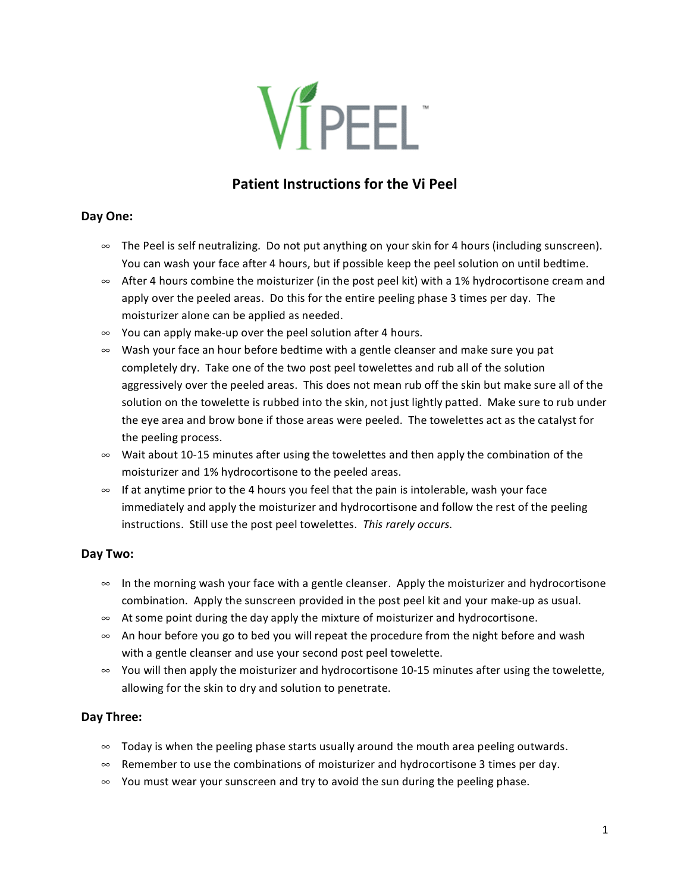

# **Patient Instructions for the Vi Peel**

#### **Day One:**

- ∞ The Peel is self neutralizing. Do not put anything on your skin for 4 hours (including sunscreen). You can wash your face after 4 hours, but if possible keep the peel solution on until bedtime.
- ∞ After 4 hours combine the moisturizer (in the post peel kit) with a 1% hydrocortisone cream and apply over the peeled areas. Do this for the entire peeling phase 3 times per day. The moisturizer alone can be applied as needed.
- ∞ You can apply make‐up over the peel solution after 4 hours.
- ∞ Wash your face an hour before bedtime with a gentle cleanser and make sure you pat completely dry. Take one of the two post peel towelettes and rub all of the solution aggressively over the peeled areas. This does not mean rub off the skin but make sure all of the solution on the towelette is rubbed into the skin, not just lightly patted. Make sure to rub under the eye area and brow bone if those areas were peeled. The towelettes act as the catalyst for the peeling process.
- ∞ Wait about 10‐15 minutes after using the towelettes and then apply the combination of the moisturizer and 1% hydrocortisone to the peeled areas.
- ∞ If at anytime prior to the 4 hours you feel that the pain is intolerable, wash your face immediately and apply the moisturizer and hydrocortisone and follow the rest of the peeling instructions. Still use the post peel towelettes. *This rarely occurs.*

## **Day Two:**

- ∞ In the morning wash your face with a gentle cleanser. Apply the moisturizer and hydrocortisone combination. Apply the sunscreen provided in the post peel kit and your make‐up as usual.
- ∞ At some point during the day apply the mixture of moisturizer and hydrocortisone.
- ∞ An hour before you go to bed you will repeat the procedure from the night before and wash with a gentle cleanser and use your second post peel towelette.
- ∞ You will then apply the moisturizer and hydrocortisone 10‐15 minutes after using the towelette, allowing for the skin to dry and solution to penetrate.

## **Day Three:**

- ∞ Today is when the peeling phase starts usually around the mouth area peeling outwards.
- ∞ Remember to use the combinations of moisturizer and hydrocortisone 3 times per day.
- ∞ You must wear your sunscreen and try to avoid the sun during the peeling phase.